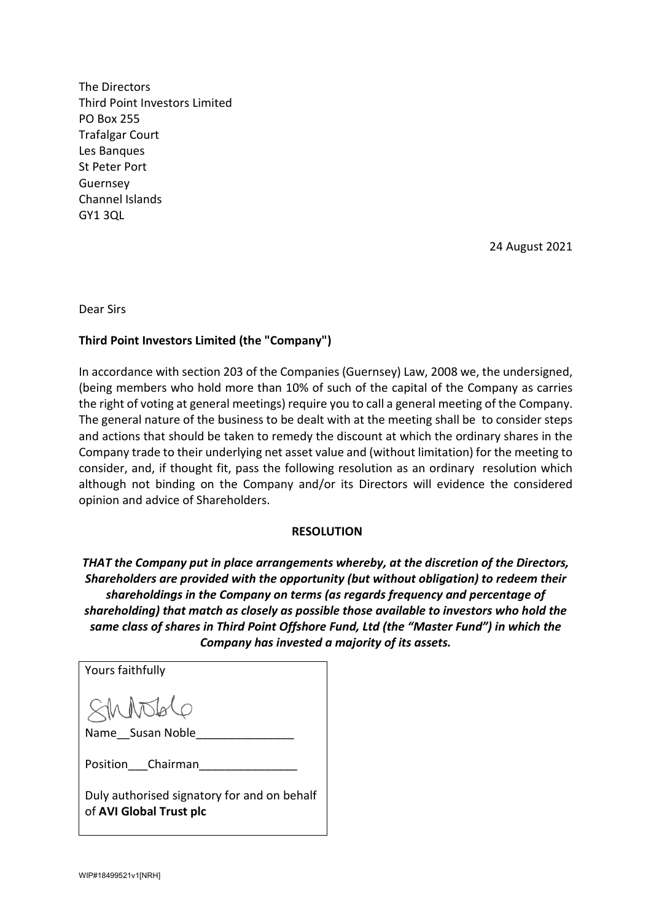The Directors Third Point Investors Limited PO Box 255 Trafalgar Court Les Banques St Peter Port Guernsey Channel Islands GY1 3QL

24 August 2021

Dear Sirs

## **Third Point Investors Limited (the "Company")**

In accordance with section 203 of the Companies (Guernsey) Law, 2008 we, the undersigned, (being members who hold more than 10% of such of the capital of the Company as carries the right of voting at general meetings) require you to call a general meeting of the Company. The general nature of the business to be dealt with at the meeting shall be to consider steps and actions that should be taken to remedy the discount at which the ordinary shares in the Company trade to their underlying net asset value and (without limitation) for the meeting to consider, and, if thought fit, pass the following resolution as an ordinary resolution which although not binding on the Company and/or its Directors will evidence the considered opinion and advice of Shareholders.

## **RESOLUTION**

*THAT the Company put in place arrangements whereby, at the discretion of the Directors, Shareholders are provided with the opportunity (but without obligation) to redeem their shareholdings in the Company on terms (as regards frequency and percentage of shareholding) that match as closely as possible those available to investors who hold the same class of shares in Third Point Offshore Fund, Ltd (the "Master Fund") in which the Company has invested a majority of its assets.* 

| Yours faithfully                                                       |
|------------------------------------------------------------------------|
| \$MMSbQ                                                                |
| Name Susan Noble                                                       |
| Position Chairman                                                      |
| Duly authorised signatory for and on behalf<br>of AVI Global Trust plc |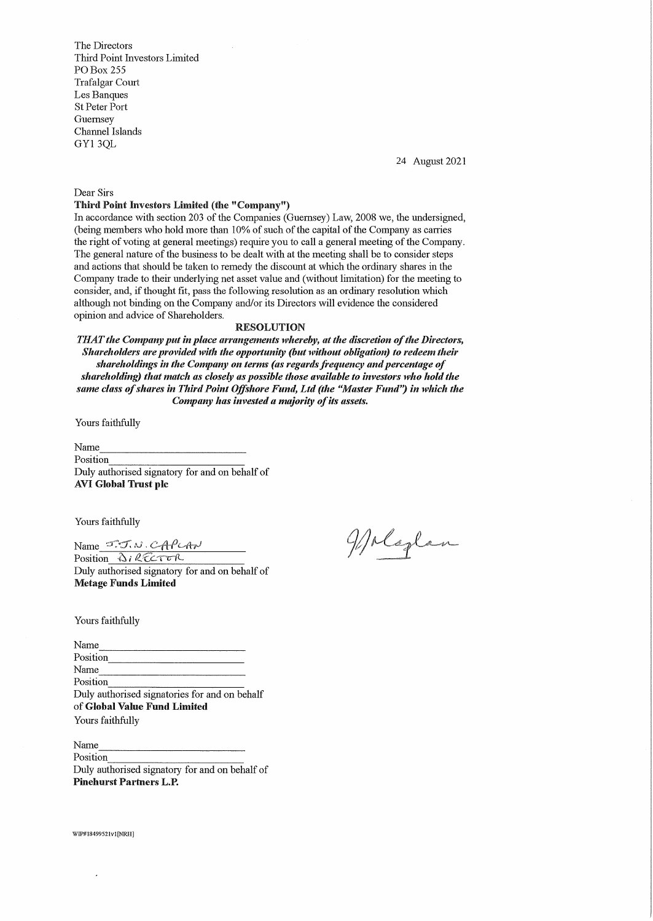The Directors Third Point Investors Limited PO Box 255 Trafalgar Court Les Banques St Peter Port Guernsey Channel Islands GY13QL

24 August 2021

Dear Sirs

## Third Point Investors Limited (the "Company")

In accordance with section 203 of the Companies (Guernsey Law, 2008 we, the undersigned, (being members who hold more than 10% of such of the capital of the Company as carries the right of voting at general meetings) require you to call a general meeting of the Company. The general nature of the business to be dealt with at the meeting shall be to consider steps and actions that should be taken to remedy the discount at which the ordinary shares in the Company trade to their underlying net asset value and (without limitation) for the meeting to consider, and, if thought fit, pass the following resolution as an ordinary resolution which although not binding on the Company and/or its Directors will evidence the considered opinion and advice of Shareholders.

## RESOLUTION

THAT the Company put in place arrangements whereby, at the discretion of the Directors, Shareholders are provided with the opportunity (but without obligation) to redeem their shareholdings in the Company on terms (as regards frequency and percentage of shareholding) that match as closely as possible those available to investors who hold the same class of shares in Third Point Offshore Fund, Ltd (the "Master Fund") in which the Company has invested a majority of its assets.

Yours faithfully

Exampling Reserved States of the Name<br>Name<br>Position Name<br>
Position<br>
Duly authorised signatory for and on behalf of AVI Global Trust plc

Yours faithfully

Yours faithfully<br>Name <del>J.J.N.CAPCAN</del><br>Position <u>AIRECTER</u>

Duly authorised signatory for and on behalf of Metage Funds Limited

Wolaglan

Yours faithfully

Yours faithfully<br>Name<br>Position Name<br>
Position<br>
Position<br>
Name<br>
Position Position<br>Name<br>Distinct the designation for and sub-Duly authorised signatories for and on behalf Yours faithfully

of **Global Value Fund Limited**<br>Yours faithfully<br>Name<br>Position Name<br>Position<br>Duly authorised signatory for and on behalf of Pinehurst Partners L.P.

WIP#18499521vl[NRH]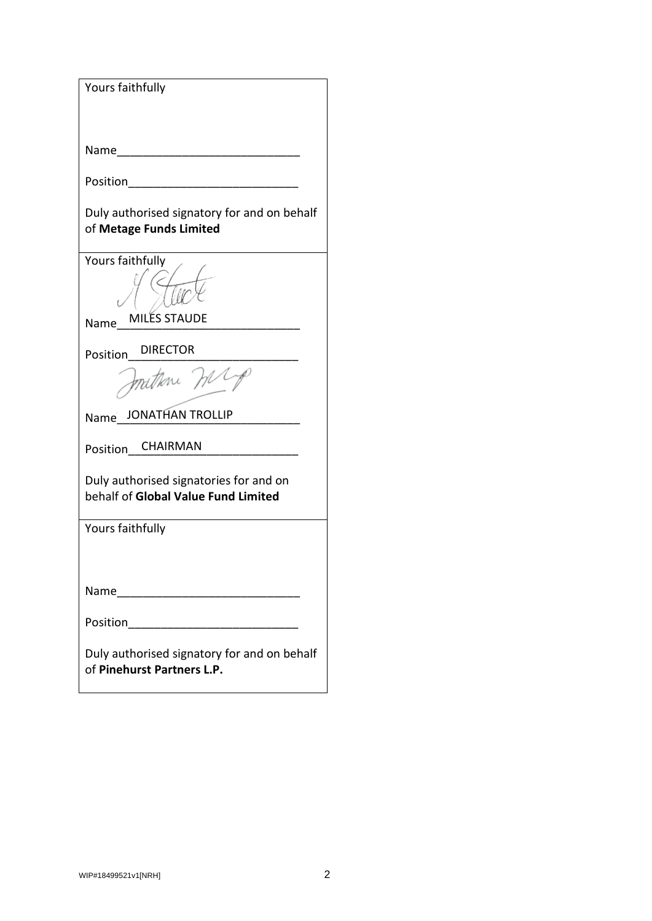| Yours faithfully                                                                                               |
|----------------------------------------------------------------------------------------------------------------|
| Name <u>_________________</u>                                                                                  |
| Position <u>___________________</u>                                                                            |
| Duly authorised signatory for and on behalf<br>of Metage Funds Limited                                         |
| Yours faithfully                                                                                               |
| <b>MILES STAUDE</b><br>Name                                                                                    |
| <b>DIRECTOR</b><br>Position                                                                                    |
| Instrone mr                                                                                                    |
| Name JONATHAN TROLLIP                                                                                          |
| Position CHAIRMAN                                                                                              |
| Duly authorised signatories for and on<br>behalf of Global Value Fund Limited                                  |
| Yours faithfully                                                                                               |
|                                                                                                                |
| Name and the set of the set of the set of the set of the set of the set of the set of the set of the set of th |
| Position<br><u> 1989 - Jan James James Barnett, fransk politik (d. 1989)</u>                                   |
| Duly authorised signatory for and on behalf<br>of Pinehurst Partners L.P.                                      |